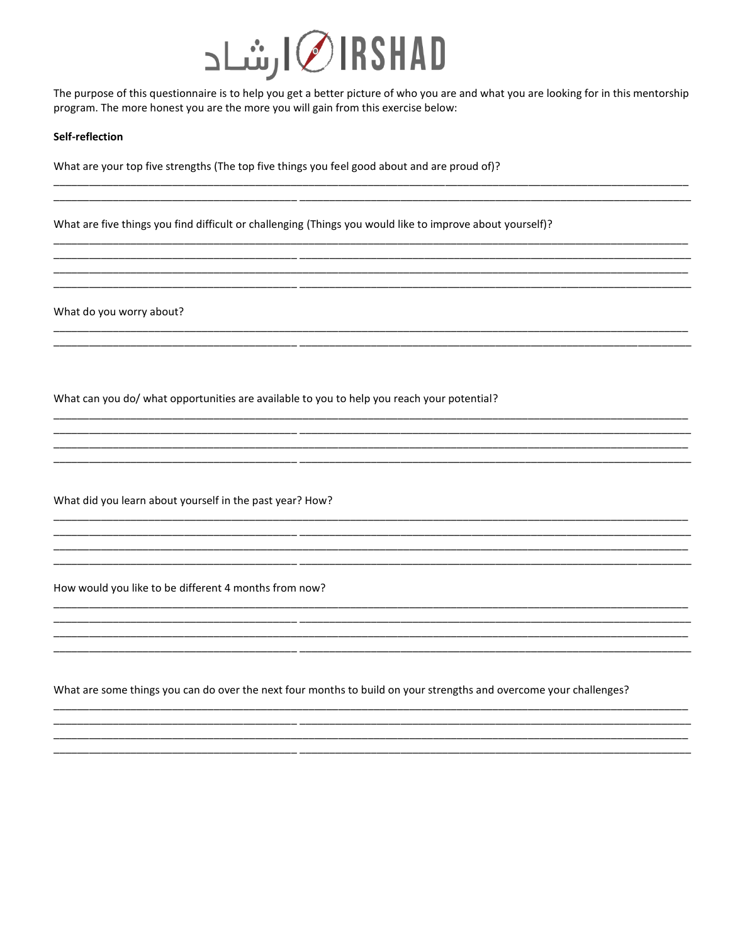

The purpose of this questionnaire is to help you get a better picture of who you are and what you are looking for in this mentorship program. The more honest you are the more you will gain from this exercise below:

<u> 1989 - Johann John Stone, mensk politik (f. 1989)</u>

## Self-reflection

What are your top five strengths (The top five things you feel good about and are proud of)?

<u> 1980 - Jan Barbara Barbara, masa ka</u>

<u> 1990 - Johann John Stone, mars eta biztanleria (h. 1908).</u>

What are five things you find difficult or challenging (Things you would like to improve about yourself)?

What do you worry about?

What can you do/ what opportunities are available to you to help you reach your potential?

What did you learn about yourself in the past year? How?

How would you like to be different 4 months from now?

What are some things you can do over the next four months to build on your strengths and overcome your challenges?

<u> 1989 - Johann Barn, mars an t-Amerikaansk politiker (\* 1908)</u>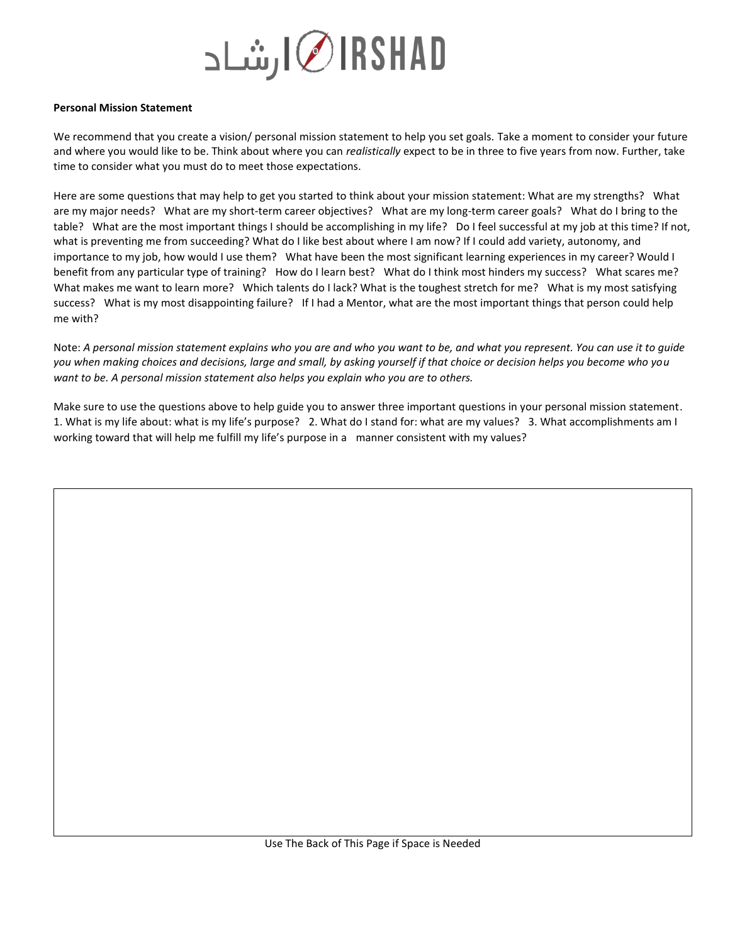

## **Personal Mission Statement**

We recommend that you create a vision/ personal mission statement to help you set goals. Take a moment to consider your future and where you would like to be. Think about where you can *realistically* expect to be in three to five years from now. Further, take time to consider what you must do to meet those expectations.

Here are some questions that may help to get you started to think about your mission statement: What are my strengths? What are my major needs? What are my short-term career objectives? What are my long-term career goals? What do I bring to the table? What are the most important things I should be accomplishing in my life? Do I feel successful at my job at this time? If not, what is preventing me from succeeding? What do I like best about where I am now? If I could add variety, autonomy, and importance to my job, how would I use them? What have been the most significant learning experiences in my career? Would I benefit from any particular type of training? How do I learn best? What do I think most hinders my success? What scares me? What makes me want to learn more? Which talents do I lack? What is the toughest stretch for me? What is my most satisfying success? What is my most disappointing failure? If I had a Mentor, what are the most important things that person could help me with?

Note: *A personal mission statement explains who you are and who you want to be, and what you represent. You can use it to guide you when making choices and decisions, large and small, by asking yourself if that choice or decision helps you become who you want to be. A personal mission statement also helps you explain who you are to others.* 

Make sure to use the questions above to help guide you to answer three important questions in your personal mission statement. 1. What is my life about: what is my life's purpose? 2. What do I stand for: what are my values? 3. What accomplishments am I working toward that will help me fulfill my life's purpose in a manner consistent with my values?